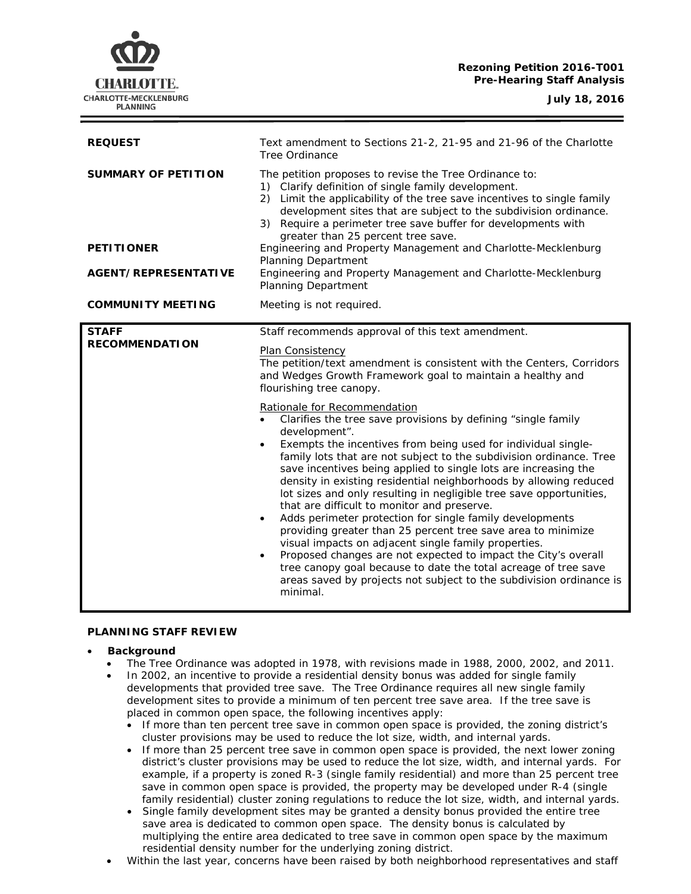# **Rezoning Petition 2016-T001 Pre-Hearing Staff Analysis**



**July 18, 2016**

| <b>REQUEST</b>                                                                 | Text amendment to Sections 21-2, 21-95 and 21-96 of the Charlotte<br>Tree Ordinance                                                                                                                                                                                                                                                                                                                                                                                                                                                                                                                                                                                                                                                                                                                                                                                                                                                                                                                                                                                                                                                                                                       |
|--------------------------------------------------------------------------------|-------------------------------------------------------------------------------------------------------------------------------------------------------------------------------------------------------------------------------------------------------------------------------------------------------------------------------------------------------------------------------------------------------------------------------------------------------------------------------------------------------------------------------------------------------------------------------------------------------------------------------------------------------------------------------------------------------------------------------------------------------------------------------------------------------------------------------------------------------------------------------------------------------------------------------------------------------------------------------------------------------------------------------------------------------------------------------------------------------------------------------------------------------------------------------------------|
| <b>SUMMARY OF PETITION</b><br><b>PETITIONER</b><br><b>AGENT/REPRESENTATIVE</b> | The petition proposes to revise the Tree Ordinance to:<br>1) Clarify definition of single family development.<br>2) Limit the applicability of the tree save incentives to single family<br>development sites that are subject to the subdivision ordinance.<br>3) Require a perimeter tree save buffer for developments with<br>greater than 25 percent tree save.<br>Engineering and Property Management and Charlotte-Mecklenburg<br><b>Planning Department</b><br>Engineering and Property Management and Charlotte-Mecklenburg<br><b>Planning Department</b>                                                                                                                                                                                                                                                                                                                                                                                                                                                                                                                                                                                                                         |
| <b>COMMUNITY MEETING</b>                                                       | Meeting is not required.                                                                                                                                                                                                                                                                                                                                                                                                                                                                                                                                                                                                                                                                                                                                                                                                                                                                                                                                                                                                                                                                                                                                                                  |
| <b>STAFF</b><br><b>RECOMMENDATION</b>                                          | Staff recommends approval of this text amendment.<br>Plan Consistency<br>The petition/text amendment is consistent with the Centers, Corridors<br>and Wedges Growth Framework goal to maintain a healthy and<br>flourishing tree canopy.<br>Rationale for Recommendation<br>Clarifies the tree save provisions by defining "single family<br>development".<br>Exempts the incentives from being used for individual single-<br>$\bullet$<br>family lots that are not subject to the subdivision ordinance. Tree<br>save incentives being applied to single lots are increasing the<br>density in existing residential neighborhoods by allowing reduced<br>lot sizes and only resulting in negligible tree save opportunities,<br>that are difficult to monitor and preserve.<br>Adds perimeter protection for single family developments<br>providing greater than 25 percent tree save area to minimize<br>visual impacts on adjacent single family properties.<br>Proposed changes are not expected to impact the City's overall<br>tree canopy goal because to date the total acreage of tree save<br>areas saved by projects not subject to the subdivision ordinance is<br>minimal. |

# **PLANNING STAFF REVIEW**

# • **Background**

- The Tree Ordinance was adopted in 1978, with revisions made in 1988, 2000, 2002, and 2011. • In 2002, an incentive to provide a residential density bonus was added for single family developments that provided tree save. The Tree Ordinance requires all new single family development sites to provide a minimum of ten percent tree save area. If the tree save is placed in common open space, the following incentives apply:
	- If more than ten percent tree save in common open space is provided, the zoning district's cluster provisions may be used to reduce the lot size, width, and internal yards.
	- If more than 25 percent tree save in common open space is provided, the next lower zoning district's cluster provisions may be used to reduce the lot size, width, and internal yards. For example, if a property is zoned R-3 (single family residential) and more than 25 percent tree save in common open space is provided, the property may be developed under R-4 (single family residential) cluster zoning regulations to reduce the lot size, width, and internal yards.
	- Single family development sites may be granted a density bonus provided the entire tree save area is dedicated to common open space. The density bonus is calculated by multiplying the entire area dedicated to tree save in common open space by the maximum residential density number for the underlying zoning district.
- Within the last year, concerns have been raised by both neighborhood representatives and staff